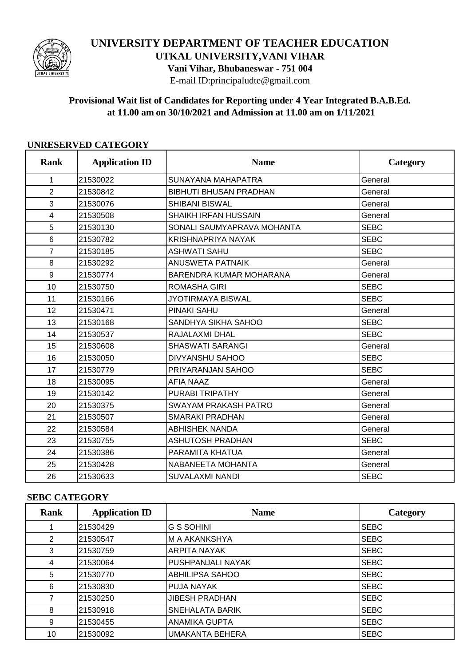

# **UNIVERSITY DEPARTMENT OF TEACHER EDUCATION**

**UTKAL UNIVERSITY,VANI VIHAR**

**Vani Vihar, Bhubaneswar - 751 004**

E-mail ID:principaludte@gmail.com

#### **Provisional Wait list of Candidates for Reporting under 4 Year Integrated B.A.B.Ed. at 11.00 am on 30/10/2021 and Admission at 11.00 am on 1/11/2021**

| <b>Rank</b>    | <b>Application ID</b> | <b>Name</b>                    | Category    |
|----------------|-----------------------|--------------------------------|-------------|
| $\mathbf{1}$   | 21530022              | SUNAYANA MAHAPATRA             | General     |
| 2              | 21530842              | <b>BIBHUTI BHUSAN PRADHAN</b>  | General     |
| 3              | 21530076              | <b>SHIBANI BISWAL</b>          | General     |
| 4              | 21530508              | <b>SHAIKH IRFAN HUSSAIN</b>    | General     |
| 5              | 21530130              | SONALI SAUMYAPRAVA MOHANTA     | <b>SEBC</b> |
| 6              | 21530782              | KRISHNAPRIYA NAYAK             | <b>SEBC</b> |
| $\overline{7}$ | 21530185              | <b>ASHWATI SAHU</b>            | <b>SEBC</b> |
| 8              | 21530292              | <b>ANUSWETA PATNAIK</b>        | General     |
| 9              | 21530774              | <b>BARENDRA KUMAR MOHARANA</b> | General     |
| 10             | 21530750              | <b>ROMASHA GIRI</b>            | <b>SEBC</b> |
| 11             | 21530166              | <b>JYOTIRMAYA BISWAL</b>       | <b>SEBC</b> |
| 12             | 21530471              | <b>PINAKI SAHU</b>             | General     |
| 13             | 21530168              | SANDHYA SIKHA SAHOO            | <b>SEBC</b> |
| 14             | 21530537              | RAJALAXMI DHAL                 | <b>SEBC</b> |
| 15             | 21530608              | <b>SHASWATI SARANGI</b>        | General     |
| 16             | 21530050              | <b>DIVYANSHU SAHOO</b>         | <b>SEBC</b> |
| 17             | 21530779              | PRIYARANJAN SAHOO              | <b>SEBC</b> |
| 18             | 21530095              | <b>AFIA NAAZ</b>               | General     |
| 19             | 21530142              | PURABI TRIPATHY                | General     |
| 20             | 21530375              | <b>SWAYAM PRAKASH PATRO</b>    | General     |
| 21             | 21530507              | <b>SMARAKI PRADHAN</b>         | General     |
| 22             | 21530584              | <b>ABHISHEK NANDA</b>          | General     |
| 23             | 21530755              | <b>ASHUTOSH PRADHAN</b>        | <b>SEBC</b> |
| 24             | 21530386              | PARAMITA KHATUA                | General     |
| 25             | 21530428              | NABANEETA MOHANTA              | General     |
| 26             | 21530633              | <b>SUVALAXMI NANDI</b>         | <b>SEBC</b> |

#### **UNRESERVED CATEGORY**

#### **SEBC CATEGORY**

| Rank | <b>Application ID</b> | <b>Name</b>            | Category    |
|------|-----------------------|------------------------|-------------|
|      | 21530429              | <b>G S SOHINI</b>      | <b>SEBC</b> |
| 2    | 21530547              | M A AKANKSHYA          | <b>SEBC</b> |
| 3    | 21530759              | <b>ARPITA NAYAK</b>    | <b>SEBC</b> |
| 4    | 21530064              | PUSHPANJALI NAYAK      | <b>SEBC</b> |
| 5    | 21530770              | ABHILIPSA SAHOO        | <b>SEBC</b> |
| 6    | 21530830              | PUJA NAYAK             | <b>SEBC</b> |
| 7    | 21530250              | <b>JIBESH PRADHAN</b>  | <b>SEBC</b> |
| 8    | 21530918              | SNEHALATA BARIK        | <b>SEBC</b> |
| 9    | 21530455              | <b>ANAMIKA GUPTA</b>   | <b>SEBC</b> |
| 10   | 21530092              | <b>UMAKANTA BEHERA</b> | <b>SEBC</b> |